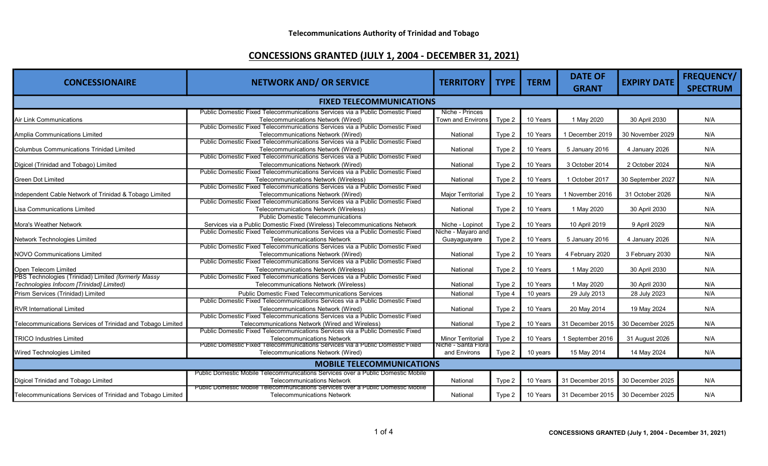| <b>CONCESSIONAIRE</b>                                      | <b>NETWORK AND/ OR SERVICE</b>                                                                                      | <b>TERRITORY</b>                   | <b>TYPE</b> | <b>TERM</b> | <b>DATE OF</b>                    | <b>EXPIRY DATE</b> | FREQUENCY/      |  |
|------------------------------------------------------------|---------------------------------------------------------------------------------------------------------------------|------------------------------------|-------------|-------------|-----------------------------------|--------------------|-----------------|--|
|                                                            |                                                                                                                     |                                    |             |             | <b>GRANT</b>                      |                    | <b>SPECTRUM</b> |  |
| <b>FIXED TELECOMMUNICATIONS</b>                            |                                                                                                                     |                                    |             |             |                                   |                    |                 |  |
|                                                            | Public Domestic Fixed Telecommunications Services via a Public Domestic Fixed                                       | Niche - Princes                    |             |             |                                   |                    |                 |  |
| <b>Air Link Communications</b>                             | Telecommunications Network (Wired)<br>Public Domestic Fixed Telecommunications Services via a Public Domestic Fixed | Town and Environs                  | Type 2      | 10 Years    | 1 May 2020                        | 30 April 2030      | N/A             |  |
| Amplia Communications Limited                              | Telecommunications Network (Wired)                                                                                  | National                           | Type 2      | 10 Years    | 1 December 2019                   | 30 November 2029   | N/A             |  |
|                                                            | Public Domestic Fixed Telecommunications Services via a Public Domestic Fixed                                       |                                    |             |             |                                   |                    |                 |  |
| <b>Columbus Communications Trinidad Limited</b>            | Telecommunications Network (Wired)<br>Public Domestic Fixed Telecommunications Services via a Public Domestic Fixed | National                           | Type 2      | 10 Years    | 5 January 2016                    | 4 January 2026     | N/A             |  |
| Digicel (Trinidad and Tobago) Limited                      | Telecommunications Network (Wired)                                                                                  | National                           | Type 2      | 10 Years    | 3 October 2014                    | 2 October 2024     | N/A             |  |
|                                                            | Public Domestic Fixed Telecommunications Services via a Public Domestic Fixed                                       |                                    |             |             |                                   |                    |                 |  |
| <b>Green Dot Limited</b>                                   | <b>Telecommunications Network (Wireless)</b>                                                                        | National                           | Type 2      | 10 Years    | 1 October 2017                    | 30 September 2027  | N/A             |  |
|                                                            | Public Domestic Fixed Telecommunications Services via a Public Domestic Fixed                                       |                                    |             |             |                                   |                    |                 |  |
| Independent Cable Network of Trinidad & Tobago Limited     | Telecommunications Network (Wired)                                                                                  | <b>Major Territorial</b>           | Type 2      | 10 Years    | 1 November 2016                   | 31 October 2026    | N/A             |  |
|                                                            | Public Domestic Fixed Telecommunications Services via a Public Domestic Fixed                                       |                                    |             |             |                                   |                    |                 |  |
| Lisa Communications Limited                                | Telecommunications Network (Wireless)                                                                               | National                           | Type 2      | 10 Years    | 1 May 2020                        | 30 April 2030      | N/A             |  |
|                                                            | <b>Public Domestic Telecommunications</b>                                                                           |                                    |             |             |                                   |                    |                 |  |
| Mora's Weather Network                                     | Services via a Public Domestic Fixed (Wireless) Telecommunications Network                                          | Niche - Lopinot                    | Type 2      | 10 Years    | 10 April 2019                     | 9 April 2029       | N/A             |  |
| Network Technologies Limited                               | Public Domestic Fixed Telecommunications Services via a Public Domestic Fixed<br><b>Telecommunications Network</b>  | Niche - Mayaro and<br>Guayaguayare | Type 2      | 10 Years    | 5 January 2016                    | 4 January 2026     | N/A             |  |
|                                                            | Public Domestic Fixed Telecommunications Services via a Public Domestic Fixed                                       |                                    |             |             |                                   |                    |                 |  |
| <b>NOVO Communications Limited</b>                         | Telecommunications Network (Wired)                                                                                  | National                           | Type 2      | 10 Years    | 4 February 2020                   | 3 February 2030    | N/A             |  |
|                                                            | Public Domestic Fixed Telecommunications Services via a Public Domestic Fixed                                       |                                    |             |             |                                   |                    |                 |  |
| Open Telecom Limited                                       | Telecommunications Network (Wireless)                                                                               | National                           | Type 2      | 10 Years    | 1 May 2020                        | 30 April 2030      | N/A             |  |
| PBS Technologies (Trinidad) Limited (formerly Massy        | Public Domestic Fixed Telecommunications Services via a Public Domestic Fixed                                       |                                    |             |             |                                   |                    |                 |  |
| Technologies Infocom [Trinidad] Limited)                   | Telecommunications Network (Wireless)                                                                               | National                           | Type 2      | 10 Years    | 1 May 2020                        | 30 April 2030      | N/A             |  |
| Prism Services (Trinidad) Limited                          | <b>Public Domestic Fixed Telecommunications Services</b>                                                            | National                           | Type 4      | 10 years    | 29 July 2013                      | 28 July 2023       | N/A             |  |
|                                                            | Public Domestic Fixed Telecommunications Services via a Public Domestic Fixed                                       |                                    |             |             |                                   |                    |                 |  |
| <b>RVR International Limited</b>                           | Telecommunications Network (Wired)                                                                                  | National                           | Type 2      | 10 Years    | 20 May 2014                       | 19 May 2024        | N/A             |  |
|                                                            | Public Domestic Fixed Telecommunications Services via a Public Domestic Fixed                                       |                                    |             |             |                                   |                    |                 |  |
| Telecommunications Services of Trinidad and Tobago Limited | Telecommunications Network (Wired and Wireless)                                                                     | National                           | Type 2      | 10 Years    | 31 December 2015                  | 30 December 2025   | N/A             |  |
|                                                            | Public Domestic Fixed Telecommunications Services via a Public Domestic Fixed                                       |                                    |             |             |                                   |                    |                 |  |
| <b>TRICO Industries Limited</b>                            | <b>Telecommunications Network</b>                                                                                   | <b>Minor Territorial</b>           | Type 2      | 10 Years    | 1 September 2016                  | 31 August 2026     | N/A             |  |
|                                                            | Public Domestic Fixed Telecommunications Services via a Public Domestic Fixed                                       | Niche - Santa Flora                |             |             |                                   |                    |                 |  |
| <b>Wired Technologies Limited</b>                          | Telecommunications Network (Wired)                                                                                  | and Environs                       | Type 2      | 10 years    | 15 May 2014                       | 14 May 2024        | N/A             |  |
| <b>MOBILE TELECOMMUNICATIONS</b>                           |                                                                                                                     |                                    |             |             |                                   |                    |                 |  |
|                                                            | Public Domestic Mobile Telecommunications Services over a Public Domestic Mobile                                    |                                    |             |             |                                   |                    |                 |  |
| Digicel Trinidad and Tobago Limited                        | <b>Telecommunications Network</b>                                                                                   | National                           | Type 2      | 10 Years    | 31 December 2015                  | 30 December 2025   | N/A             |  |
| Telecommunications Services of Trinidad and Tobago Limited | iications Services over a Public Domestic Mobile<br><b>Telecommunications Network</b>                               | National                           | Type 2      | 10 Years    | 31 December 2015 30 December 2025 |                    | N/A             |  |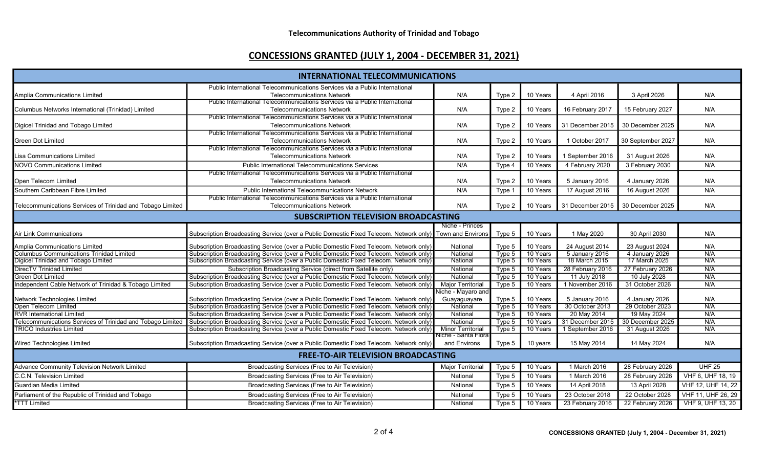| <b>INTERNATIONAL TELECOMMUNICATIONS</b>                    |                                                                                                          |                                      |        |          |                  |                   |                    |  |
|------------------------------------------------------------|----------------------------------------------------------------------------------------------------------|--------------------------------------|--------|----------|------------------|-------------------|--------------------|--|
|                                                            | Public International Telecommunications Services via a Public International                              |                                      |        |          |                  |                   |                    |  |
| Amplia Communications Limited                              | <b>Telecommunications Network</b>                                                                        | N/A                                  | Type 2 | 10 Years | 4 April 2016     | 3 April 2026      | N/A                |  |
|                                                            | Public International Telecommunications Services via a Public International                              |                                      |        |          |                  |                   |                    |  |
| Columbus Networks International (Trinidad) Limited         | <b>Telecommunications Network</b>                                                                        | N/A                                  | Type 2 | 10 Years | 16 February 2017 | 15 February 2027  | N/A                |  |
|                                                            | Public International Telecommunications Services via a Public International                              |                                      |        |          |                  |                   |                    |  |
| Digicel Trinidad and Tobago Limited                        | <b>Telecommunications Network</b>                                                                        | N/A                                  | Type 2 | 10 Years | 31 December 2015 | 30 December 2025  | N/A                |  |
|                                                            | Public International Telecommunications Services via a Public International                              |                                      |        |          |                  |                   |                    |  |
| <b>Green Dot Limited</b>                                   | <b>Telecommunications Network</b>                                                                        | N/A                                  | Type 2 | 10 Years | 1 October 2017   | 30 September 2027 | N/A                |  |
|                                                            | Public International Telecommunications Services via a Public International                              |                                      |        |          |                  |                   |                    |  |
| Lisa Communications Limited                                | <b>Telecommunications Network</b>                                                                        | N/A                                  | Type 2 | 10 Years | 1 September 2016 | 31 August 2026    | N/A                |  |
| <b>NOVO Communications Limited</b>                         | <b>Public International Telecommunications Services</b>                                                  | N/A                                  | Type 4 | 10 Years | 4 February 2020  | 3 February 2030   | N/A                |  |
|                                                            | Public International Telecommunications Services via a Public International                              |                                      |        |          |                  |                   |                    |  |
| Open Telecom Limited                                       | <b>Telecommunications Network</b>                                                                        | N/A                                  | Type 2 | 10 Years | 5 January 2016   | 4 January 2026    | N/A                |  |
| Southern Caribbean Fibre Limited                           | <b>Public International Telecommunications Network</b>                                                   | N/A                                  | Type 1 | 10 Years | 17 August 2016   | 16 August 2026    | N/A                |  |
|                                                            | Public International Telecommunications Services via a Public International                              |                                      |        |          |                  |                   |                    |  |
| Telecommunications Services of Trinidad and Tobago Limited | <b>Telecommunications Network</b>                                                                        | N/A                                  | Type 2 | 10 Years | 31 December 2015 | 30 December 2025  | N/A                |  |
| <b>SUBSCRIPTION TELEVISION BROADCASTING</b>                |                                                                                                          |                                      |        |          |                  |                   |                    |  |
|                                                            |                                                                                                          | Niche - Princes                      |        |          |                  |                   |                    |  |
| Air Link Communications                                    | Subscription Broadcasting Service (over a Public Domestic Fixed Telecom. Network only) Town and Environs |                                      | Type 5 | 10 Years | 1 May 2020       | 30 April 2030     | N/A                |  |
| Amplia Communications Limited                              | Subscription Broadcasting Service (over a Public Domestic Fixed Telecom. Network only)                   | National                             | Type 5 | 10 Years | 24 August 2014   | 23 August 2024    | N/A                |  |
| <b>Columbus Communications Trinidad Limited</b>            | Subscription Broadcasting Service (over a Public Domestic Fixed Telecom. Network only)                   | National                             | Type 5 | 10 Years | 5 January 2016   | 4 January 2026    | N/A                |  |
| Digicel Trinidad and Tobago Limited                        | Subscription Broadcasting Service (over a Public Domestic Fixed Telecom. Network only)                   | National                             | Type 5 | 10 Years | 18 March 2015    | 17 March 2025     | N/A                |  |
| <b>DirecTV Trinidad Limited</b>                            | Subscription Broadcasting Service (direct from Satellite only)                                           | National                             | Type 5 | 10 Years | 28 February 2016 | 27 February 2026  | N/A                |  |
| <b>Green Dot Limited</b>                                   | Subscription Broadcasting Service (over a Public Domestic Fixed Telecom. Network only)                   | National                             | Type 5 | 10 Years | 11 July 2018     | 10 July 2028      | N/A                |  |
| Independent Cable Network of Trinidad & Tobago Limited     | Subscription Broadcasting Service (over a Public Domestic Fixed Telecom. Network only)                   | <b>Major Territorial</b>             | Type 5 | 10 Years | 1 November 2016  | 31 October 2026   | N/A                |  |
|                                                            |                                                                                                          | Niche - Mayaro and                   |        |          |                  |                   |                    |  |
| Network Technologies Limited                               | Subscription Broadcasting Service (over a Public Domestic Fixed Telecom. Network only)                   | Guayaguayare                         | Type 5 | 10 Years | 5 January 2016   | 4 January 2026    | N/A                |  |
| Open Telecom Limited                                       | Subscription Broadcasting Service (over a Public Domestic Fixed Telecom. Network only)                   | National                             | Type 5 | 10 Years | 30 October 2013  | 29 October 2023   | N/A                |  |
| <b>RVR International Limited</b>                           | Subscription Broadcasting Service (over a Public Domestic Fixed Telecom. Network only)                   | National                             | Type 5 | 10 Years | 20 May 2014      | 19 May 2024       | N/A                |  |
| elecommunications Services of Trinidad and Tobago Limited  | Subscription Broadcasting Service (over a Public Domestic Fixed Telecom. Network only)                   | National                             | Type 5 | 10 Years | 31 December 2015 | 30 December 2025  | N/A                |  |
| <b>TRICO Industries Limited</b>                            | Subscription Broadcasting Service (over a Public Domestic Fixed Telecom. Network only)                   | <b>Minor Territorial</b>             | Type 5 | 10 Years | 1 September 2016 | 31 August 2026    | N/A                |  |
| Wired Technologies Limited                                 | Subscription Broadcasting Service (over a Public Domestic Fixed Telecom. Network only)                   | Niche - Santa Floral<br>and Environs | Type 5 | 10 years | 15 May 2014      | 14 May 2024       | N/A                |  |
| <b>FREE-TO-AIR TELEVISION BROADCASTING</b>                 |                                                                                                          |                                      |        |          |                  |                   |                    |  |
| <b>Advance Community Television Network Limited</b>        | Broadcasting Services (Free to Air Television)                                                           | <b>Major Territorial</b>             | Type 5 | 10 Years | 1 March 2016     | 28 February 2026  | <b>UHF 25</b>      |  |
| C.C.N. Television Limited                                  | Broadcasting Services (Free to Air Television)                                                           | National                             | Type 5 | 10 Years | 1 March 2016     | 28 February 2026  | VHF 6, UHF 18, 19  |  |
| Guardian Media Limited                                     | Broadcasting Services (Free to Air Television)                                                           | National                             | Type 5 | 10 Years | 14 April 2018    | 13 April 2028     | VHF 12, UHF 14, 22 |  |
| Parliament of the Republic of Trinidad and Tobago          | Broadcasting Services (Free to Air Television)                                                           | National                             | Type 5 | 10 Years | 23 October 2018  | 22 October 2028   | VHF 11, UHF 26, 29 |  |
| <b>*TTT Limited</b>                                        | Broadcasting Services (Free to Air Television)                                                           | National                             | Type 5 | 10 Years | 23 February 2016 | 22 February 2026  | VHF 9, UHF 13, 20  |  |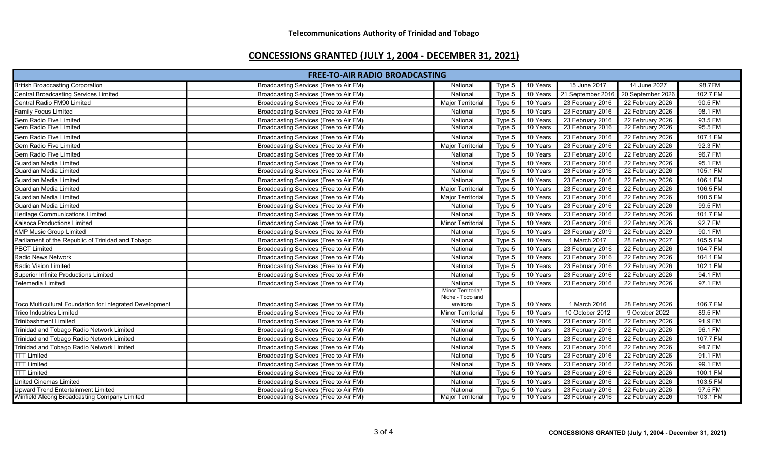| 98.7FM<br>15 June 2017<br>14 June 2027<br><b>British Broadcasting Corporation</b><br>Broadcasting Services (Free to Air FM)<br>National<br>10 Years<br>Type 5<br>102.7 FM<br>10 Years<br>21 September 2016<br>20 September 2026<br>Central Broadcasting Services Limited<br>Broadcasting Services (Free to Air FM)<br>National<br>Type 5<br>90.5 FM<br>Central Radio FM90 Limited<br>Broadcasting Services (Free to Air FM)<br>Major Territorial<br>10 Years<br>23 February 2016<br>22 February 2026<br>Type 5<br>98.1 FM<br>23 February 2016<br><b>Family Focus Limited</b><br>Broadcasting Services (Free to Air FM)<br>Type 5<br>10 Years<br>22 February 2026<br>National<br>23 February 2016<br>93.5 FM<br>Gem Radio Five Limited<br>Broadcasting Services (Free to Air FM)<br>22 February 2026<br>National<br>Type 5<br>10 Years<br>95.5 FM<br>Gem Radio Five Limited<br>Broadcasting Services (Free to Air FM)<br>10 Years<br>23 February 2016<br>22 February 2026<br>National<br>Type 5<br>107.1 FM<br>Gem Radio Five Limited<br>10 Years<br>23 February 2016<br>22 February 2026<br>Broadcasting Services (Free to Air FM)<br>National<br>Type 5<br>92.3 FM<br>23 February 2016<br>22 February 2026<br>Gem Radio Five Limited<br>Broadcasting Services (Free to Air FM)<br><b>Major Territorial</b><br>10 Years<br>Type 5<br>22 February 2026<br>96.7 FM<br>Broadcasting Services (Free to Air FM)<br>10 Years<br>23 February 2016<br>Gem Radio Five Limited<br>Type 5<br>National<br>95.1 FM<br>10 Years<br>23 February 2016<br>22 February 2026<br>Guardian Media Limited<br>Broadcasting Services (Free to Air FM)<br>National<br>Type 5 | <b>FREE-TO-AIR RADIO BROADCASTING</b> |                                        |          |        |          |                  |                  |          |
|-----------------------------------------------------------------------------------------------------------------------------------------------------------------------------------------------------------------------------------------------------------------------------------------------------------------------------------------------------------------------------------------------------------------------------------------------------------------------------------------------------------------------------------------------------------------------------------------------------------------------------------------------------------------------------------------------------------------------------------------------------------------------------------------------------------------------------------------------------------------------------------------------------------------------------------------------------------------------------------------------------------------------------------------------------------------------------------------------------------------------------------------------------------------------------------------------------------------------------------------------------------------------------------------------------------------------------------------------------------------------------------------------------------------------------------------------------------------------------------------------------------------------------------------------------------------------------------------------------------------------------------------------------|---------------------------------------|----------------------------------------|----------|--------|----------|------------------|------------------|----------|
|                                                                                                                                                                                                                                                                                                                                                                                                                                                                                                                                                                                                                                                                                                                                                                                                                                                                                                                                                                                                                                                                                                                                                                                                                                                                                                                                                                                                                                                                                                                                                                                                                                                     |                                       |                                        |          |        |          |                  |                  |          |
|                                                                                                                                                                                                                                                                                                                                                                                                                                                                                                                                                                                                                                                                                                                                                                                                                                                                                                                                                                                                                                                                                                                                                                                                                                                                                                                                                                                                                                                                                                                                                                                                                                                     |                                       |                                        |          |        |          |                  |                  |          |
|                                                                                                                                                                                                                                                                                                                                                                                                                                                                                                                                                                                                                                                                                                                                                                                                                                                                                                                                                                                                                                                                                                                                                                                                                                                                                                                                                                                                                                                                                                                                                                                                                                                     |                                       |                                        |          |        |          |                  |                  |          |
|                                                                                                                                                                                                                                                                                                                                                                                                                                                                                                                                                                                                                                                                                                                                                                                                                                                                                                                                                                                                                                                                                                                                                                                                                                                                                                                                                                                                                                                                                                                                                                                                                                                     |                                       |                                        |          |        |          |                  |                  |          |
|                                                                                                                                                                                                                                                                                                                                                                                                                                                                                                                                                                                                                                                                                                                                                                                                                                                                                                                                                                                                                                                                                                                                                                                                                                                                                                                                                                                                                                                                                                                                                                                                                                                     |                                       |                                        |          |        |          |                  |                  |          |
|                                                                                                                                                                                                                                                                                                                                                                                                                                                                                                                                                                                                                                                                                                                                                                                                                                                                                                                                                                                                                                                                                                                                                                                                                                                                                                                                                                                                                                                                                                                                                                                                                                                     |                                       |                                        |          |        |          |                  |                  |          |
|                                                                                                                                                                                                                                                                                                                                                                                                                                                                                                                                                                                                                                                                                                                                                                                                                                                                                                                                                                                                                                                                                                                                                                                                                                                                                                                                                                                                                                                                                                                                                                                                                                                     |                                       |                                        |          |        |          |                  |                  |          |
|                                                                                                                                                                                                                                                                                                                                                                                                                                                                                                                                                                                                                                                                                                                                                                                                                                                                                                                                                                                                                                                                                                                                                                                                                                                                                                                                                                                                                                                                                                                                                                                                                                                     |                                       |                                        |          |        |          |                  |                  |          |
|                                                                                                                                                                                                                                                                                                                                                                                                                                                                                                                                                                                                                                                                                                                                                                                                                                                                                                                                                                                                                                                                                                                                                                                                                                                                                                                                                                                                                                                                                                                                                                                                                                                     |                                       |                                        |          |        |          |                  |                  |          |
|                                                                                                                                                                                                                                                                                                                                                                                                                                                                                                                                                                                                                                                                                                                                                                                                                                                                                                                                                                                                                                                                                                                                                                                                                                                                                                                                                                                                                                                                                                                                                                                                                                                     |                                       |                                        |          |        |          |                  |                  |          |
|                                                                                                                                                                                                                                                                                                                                                                                                                                                                                                                                                                                                                                                                                                                                                                                                                                                                                                                                                                                                                                                                                                                                                                                                                                                                                                                                                                                                                                                                                                                                                                                                                                                     | Guardian Media Limited                | Broadcasting Services (Free to Air FM) | National | Type 5 | 10 Years | 23 February 2016 | 22 February 2026 | 105.1 FM |
| 23 February 2016<br>22 February 2026<br>Broadcasting Services (Free to Air FM)<br>10 Years<br>106.1 FM<br>Guardian Media Limited<br>National<br>Type 5                                                                                                                                                                                                                                                                                                                                                                                                                                                                                                                                                                                                                                                                                                                                                                                                                                                                                                                                                                                                                                                                                                                                                                                                                                                                                                                                                                                                                                                                                              |                                       |                                        |          |        |          |                  |                  |          |
| 23 February 2016<br>106.5 FM<br>Guardian Media Limited<br>Broadcasting Services (Free to Air FM)<br>Type 5<br>10 Years<br>22 February 2026<br><b>Major Territorial</b>                                                                                                                                                                                                                                                                                                                                                                                                                                                                                                                                                                                                                                                                                                                                                                                                                                                                                                                                                                                                                                                                                                                                                                                                                                                                                                                                                                                                                                                                              |                                       |                                        |          |        |          |                  |                  |          |
| 23 February 2016<br>Guardian Media Limited<br>Broadcasting Services (Free to Air FM)<br>10 Years<br>22 February 2026<br>100.5 FM<br><b>Major Territorial</b><br>Type 5                                                                                                                                                                                                                                                                                                                                                                                                                                                                                                                                                                                                                                                                                                                                                                                                                                                                                                                                                                                                                                                                                                                                                                                                                                                                                                                                                                                                                                                                              |                                       |                                        |          |        |          |                  |                  |          |
| 99.5 FM<br>10 Years<br>23 February 2016<br>22 February 2026<br>Guardian Media Limited<br>Broadcasting Services (Free to Air FM)<br>National<br>Type 5                                                                                                                                                                                                                                                                                                                                                                                                                                                                                                                                                                                                                                                                                                                                                                                                                                                                                                                                                                                                                                                                                                                                                                                                                                                                                                                                                                                                                                                                                               |                                       |                                        |          |        |          |                  |                  |          |
| 23 February 2016<br>22 February 2026<br>101.7 FM<br>Broadcasting Services (Free to Air FM)<br>National<br>10 Years<br>Heritage Communications Limited<br>Type 5                                                                                                                                                                                                                                                                                                                                                                                                                                                                                                                                                                                                                                                                                                                                                                                                                                                                                                                                                                                                                                                                                                                                                                                                                                                                                                                                                                                                                                                                                     |                                       |                                        |          |        |          |                  |                  |          |
| 23 February 2016<br>92.7 FM<br>Kaisoca Productions Limited<br><b>Minor Territorial</b><br>10 Years<br>22 February 2026<br>Broadcasting Services (Free to Air FM)<br>Type 5                                                                                                                                                                                                                                                                                                                                                                                                                                                                                                                                                                                                                                                                                                                                                                                                                                                                                                                                                                                                                                                                                                                                                                                                                                                                                                                                                                                                                                                                          |                                       |                                        |          |        |          |                  |                  |          |
| 23 February 2019<br>90.1 FM<br><b>KMP Music Group Limited</b><br>Broadcasting Services (Free to Air FM)<br>Type 5<br>10 Years<br>22 February 2029<br>National                                                                                                                                                                                                                                                                                                                                                                                                                                                                                                                                                                                                                                                                                                                                                                                                                                                                                                                                                                                                                                                                                                                                                                                                                                                                                                                                                                                                                                                                                       |                                       |                                        |          |        |          |                  |                  |          |
| Parliament of the Republic of Trinidad and Tobago<br>1 March 2017<br>28 February 2027<br>105.5 FM<br>Broadcasting Services (Free to Air FM)<br>National<br>Type 5<br>10 Years                                                                                                                                                                                                                                                                                                                                                                                                                                                                                                                                                                                                                                                                                                                                                                                                                                                                                                                                                                                                                                                                                                                                                                                                                                                                                                                                                                                                                                                                       |                                       |                                        |          |        |          |                  |                  |          |
| <b>PBCT Limited</b><br>23 February 2016<br>22 February 2026<br>104.7 FM<br>Broadcasting Services (Free to Air FM)<br>National<br>Type 5<br>10 Years                                                                                                                                                                                                                                                                                                                                                                                                                                                                                                                                                                                                                                                                                                                                                                                                                                                                                                                                                                                                                                                                                                                                                                                                                                                                                                                                                                                                                                                                                                 |                                       |                                        |          |        |          |                  |                  |          |
| 104.1 FM<br>Radio News Network<br>Broadcasting Services (Free to Air FM)<br>National<br>Type 5<br>10 Years<br>23 February 2016<br>22 February 2026                                                                                                                                                                                                                                                                                                                                                                                                                                                                                                                                                                                                                                                                                                                                                                                                                                                                                                                                                                                                                                                                                                                                                                                                                                                                                                                                                                                                                                                                                                  |                                       |                                        |          |        |          |                  |                  |          |
| Radio Vision Limited<br>23 February 2016<br>22 February 2026<br>102.1 FM<br>Broadcasting Services (Free to Air FM)<br>10 Years<br>National<br>Type 5                                                                                                                                                                                                                                                                                                                                                                                                                                                                                                                                                                                                                                                                                                                                                                                                                                                                                                                                                                                                                                                                                                                                                                                                                                                                                                                                                                                                                                                                                                |                                       |                                        |          |        |          |                  |                  |          |
| 10 Years<br>23 February 2016<br>22 February 2026<br>94.1 FM<br><b>Superior Infinite Productions Limited</b><br>Broadcasting Services (Free to Air FM)<br>Type 5<br>National                                                                                                                                                                                                                                                                                                                                                                                                                                                                                                                                                                                                                                                                                                                                                                                                                                                                                                                                                                                                                                                                                                                                                                                                                                                                                                                                                                                                                                                                         |                                       |                                        |          |        |          |                  |                  |          |
| 97.1 FM<br>10 Years<br>23 February 2016<br>22 February 2026<br>Telemedia Limited<br>Broadcasting Services (Free to Air FM)<br>National<br>Type 5                                                                                                                                                                                                                                                                                                                                                                                                                                                                                                                                                                                                                                                                                                                                                                                                                                                                                                                                                                                                                                                                                                                                                                                                                                                                                                                                                                                                                                                                                                    |                                       |                                        |          |        |          |                  |                  |          |
| Minor Territorial/                                                                                                                                                                                                                                                                                                                                                                                                                                                                                                                                                                                                                                                                                                                                                                                                                                                                                                                                                                                                                                                                                                                                                                                                                                                                                                                                                                                                                                                                                                                                                                                                                                  |                                       |                                        |          |        |          |                  |                  |          |
| Niche - Toco and<br>1 March 2016<br>106.7 FM<br>Toco Multicultural Foundation for Integrated Development<br>Broadcasting Services (Free to Air FM)<br>environs<br>Type 5<br>10 Years<br>28 February 2026                                                                                                                                                                                                                                                                                                                                                                                                                                                                                                                                                                                                                                                                                                                                                                                                                                                                                                                                                                                                                                                                                                                                                                                                                                                                                                                                                                                                                                            |                                       |                                        |          |        |          |                  |                  |          |
| 89.5 FM<br>10 Years<br>10 October 2012<br>9 October 2022<br><b>Trico Industries Limited</b><br>Broadcasting Services (Free to Air FM)<br><b>Minor Territorial</b><br>Type 5                                                                                                                                                                                                                                                                                                                                                                                                                                                                                                                                                                                                                                                                                                                                                                                                                                                                                                                                                                                                                                                                                                                                                                                                                                                                                                                                                                                                                                                                         |                                       |                                        |          |        |          |                  |                  |          |
| 23 February 2016<br>22 February 2026<br>91.9 FM<br>Broadcasting Services (Free to Air FM)<br>Type 5<br>10 Years<br>Trinibashment Limited<br>National                                                                                                                                                                                                                                                                                                                                                                                                                                                                                                                                                                                                                                                                                                                                                                                                                                                                                                                                                                                                                                                                                                                                                                                                                                                                                                                                                                                                                                                                                                |                                       |                                        |          |        |          |                  |                  |          |
| 96.1 FM<br>10 Years<br>23 February 2016<br>22 February 2026<br>Trinidad and Tobago Radio Network Limited<br>Broadcasting Services (Free to Air FM)<br>National<br>Type 5                                                                                                                                                                                                                                                                                                                                                                                                                                                                                                                                                                                                                                                                                                                                                                                                                                                                                                                                                                                                                                                                                                                                                                                                                                                                                                                                                                                                                                                                            |                                       |                                        |          |        |          |                  |                  |          |
| 23 February 2016<br>107.7 FM<br>Trinidad and Tobago Radio Network Limited<br>Broadcasting Services (Free to Air FM)<br>Type 5<br>10 Years<br>22 February 2026<br>National                                                                                                                                                                                                                                                                                                                                                                                                                                                                                                                                                                                                                                                                                                                                                                                                                                                                                                                                                                                                                                                                                                                                                                                                                                                                                                                                                                                                                                                                           |                                       |                                        |          |        |          |                  |                  |          |
| 94.7 FM<br>23 February 2016<br>22 February 2026<br>Trinidad and Tobago Radio Network Limited<br>Broadcasting Services (Free to Air FM)<br>National<br>Type 5<br>10 Years                                                                                                                                                                                                                                                                                                                                                                                                                                                                                                                                                                                                                                                                                                                                                                                                                                                                                                                                                                                                                                                                                                                                                                                                                                                                                                                                                                                                                                                                            |                                       |                                        |          |        |          |                  |                  |          |
| <b>TTT Limited</b><br>23 February 2016<br>22 February 2026<br>91.1 FM<br>Broadcasting Services (Free to Air FM)<br>National<br>Type 5<br>10 Years                                                                                                                                                                                                                                                                                                                                                                                                                                                                                                                                                                                                                                                                                                                                                                                                                                                                                                                                                                                                                                                                                                                                                                                                                                                                                                                                                                                                                                                                                                   |                                       |                                        |          |        |          |                  |                  |          |
| <b>TTT Limited</b><br>23 February 2016<br>99.1 FM<br>Broadcasting Services (Free to Air FM)<br>National<br>Type 5<br>10 Years<br>22 February 2026                                                                                                                                                                                                                                                                                                                                                                                                                                                                                                                                                                                                                                                                                                                                                                                                                                                                                                                                                                                                                                                                                                                                                                                                                                                                                                                                                                                                                                                                                                   |                                       |                                        |          |        |          |                  |                  |          |
| 23 February 2016<br>22 February 2026<br>100.1 FM<br><b>TTT Limited</b><br>Broadcasting Services (Free to Air FM)<br>National<br>10 Years<br>Type 5                                                                                                                                                                                                                                                                                                                                                                                                                                                                                                                                                                                                                                                                                                                                                                                                                                                                                                                                                                                                                                                                                                                                                                                                                                                                                                                                                                                                                                                                                                  |                                       |                                        |          |        |          |                  |                  |          |
| United Cinemas Limited<br>Broadcasting Services (Free to Air FM)<br>23 February 2016<br>22 February 2026<br>103.5 FM<br>Type 5<br>10 Years<br>National                                                                                                                                                                                                                                                                                                                                                                                                                                                                                                                                                                                                                                                                                                                                                                                                                                                                                                                                                                                                                                                                                                                                                                                                                                                                                                                                                                                                                                                                                              |                                       |                                        |          |        |          |                  |                  |          |
| 97.5 FM<br>Upward Trend Entertainment Limited<br>Broadcasting Services (Free to Air FM)<br>10 Years<br>23 February 2016<br>22 February 2026<br>National<br>Type 5                                                                                                                                                                                                                                                                                                                                                                                                                                                                                                                                                                                                                                                                                                                                                                                                                                                                                                                                                                                                                                                                                                                                                                                                                                                                                                                                                                                                                                                                                   |                                       |                                        |          |        |          |                  |                  |          |
| Winfield Aleong Broadcasting Company Limited<br>Broadcasting Services (Free to Air FM)<br>23 February 2016<br>103.1 FM<br><b>Major Territorial</b><br>10 Years<br>22 February 2026<br>Type 5                                                                                                                                                                                                                                                                                                                                                                                                                                                                                                                                                                                                                                                                                                                                                                                                                                                                                                                                                                                                                                                                                                                                                                                                                                                                                                                                                                                                                                                        |                                       |                                        |          |        |          |                  |                  |          |